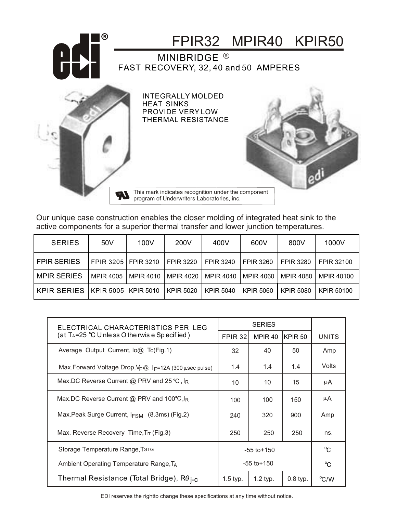

Our unique case construction enables the closer molding of integrated heat sink to the active components for a superior thermal transfer and lower junction temperatures.

| <b>SERIES</b> | 50 <sub>V</sub>       | 100V             | 200V             | 400V             | 600V             | 800V             | 1000V             |
|---------------|-----------------------|------------------|------------------|------------------|------------------|------------------|-------------------|
| FPIR SERIES   | FPIR 3205   FPIR 3210 |                  | <b>FPIR 3220</b> | <b>FPIR 3240</b> | <b>FPIR 3260</b> | <b>FPIR 3280</b> | <b>FPIR 32100</b> |
| I MPIR SERIES | MPIR 4005             | <b>MPIR 4010</b> | MPIR 4020        | <b>MPIR 4040</b> | MPIR 4060        | MPIR 4080        | MPIR 40100        |
| I KPIR SERIES | KPIR 5005 KPIR 5010   |                  | <b>KPIR 5020</b> | KPIR 5040        | KPIR 5060        | <b>KPIR 5080</b> | KPIR 50100        |

| ELECTRICAL CHARACTERISTICS PER LEG                                              |                 |                    |                    |               |
|---------------------------------------------------------------------------------|-----------------|--------------------|--------------------|---------------|
| (at T <sub>A</sub> =25 $^{\circ}$ C U nle ss O the rwis e Sp ecified )          | FPIR 32         | MPIR <sub>40</sub> | KPIR <sub>50</sub> | <b>UNITS</b>  |
| Average Output Current, $log$ Tc(Fig.1)                                         | 32              | 40                 | 50                 | Amp           |
| Max.Forward Voltage Drop, V <sub>F</sub> @ I <sub>F</sub> =12A (300 µsec pulse) | 1.4             | 1.4                | 1.4                | Volts         |
| Max.DC Reverse Current @ PRV and 25 °C, $I_R$                                   | 10              | 10                 | 15                 | μA            |
| Max.DC Reverse Current @ PRV and 100°C, I <sub>R</sub>                          | 100             | 100                | 150                | μA            |
| Max. Peak Surge Current, $I_{FSM}$ (8.3ms) (Fig.2)                              | 240             | 320                | 900                | Amp           |
| Max. Reverse Recovery Time, Trr (Fig.3)                                         | 250             | 250                | 250                | ns.           |
| Storage Temperature Range, TstG                                                 | $-55$ to $+150$ | $^{\circ}$ C       |                    |               |
| Ambient Operating Temperature Range, TA                                         | $-55$ to $+150$ | $^{\circ}C$        |                    |               |
| Thermal Resistance (Total Bridge), R $\theta_{\text{i-C}}$                      | $1.5$ typ.      | $1.2$ typ.         | $0.8$ typ.         | $\rm ^{o}C/W$ |

EDI reserves the rightto change these specifications at any time without notice.